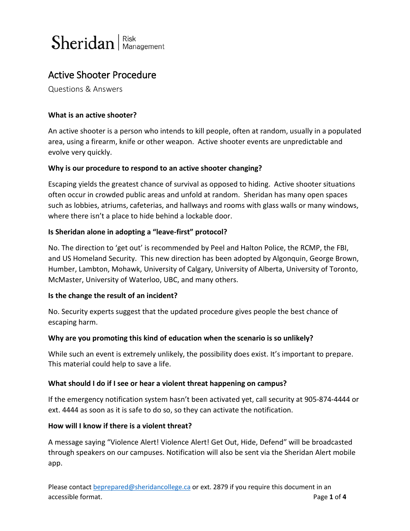

Questions & Answers

## **What is an active shooter?**

An active shooter is a person who intends to kill people, often at random, usually in a populated area, using a firearm, knife or other weapon. Active shooter events are unpredictable and evolve very quickly.

## **Why is our procedure to respond to an active shooter changing?**

Escaping yields the greatest chance of survival as opposed to hiding. Active shooter situations often occur in crowded public areas and unfold at random. Sheridan has many open spaces such as lobbies, atriums, cafeterias, and hallways and rooms with glass walls or many windows, where there isn't a place to hide behind a lockable door.

## **Is Sheridan alone in adopting a "leave-first" protocol?**

No. The direction to 'get out' is recommended by Peel and Halton Police, the RCMP, the FBI, and US Homeland Security. This new direction has been adopted by Algonquin, George Brown, Humber, Lambton, Mohawk, University of Calgary, University of Alberta, University of Toronto, McMaster, University of Waterloo, UBC, and many others.

#### **Is the change the result of an incident?**

No. Security experts suggest that the updated procedure gives people the best chance of escaping harm.

#### **Why are you promoting this kind of education when the scenario is so unlikely?**

While such an event is extremely unlikely, the possibility does exist. It's important to prepare. This material could help to save a life.

#### **What should I do if I see or hear a violent threat happening on campus?**

If the emergency notification system hasn't been activated yet, call security at 905-874-4444 or ext. 4444 as soon as it is safe to do so, so they can activate the notification.

#### **How will I know if there is a violent threat?**

A message saying "Violence Alert! Violence Alert! Get Out, Hide, Defend" will be broadcasted through speakers on our campuses. Notification will also be sent via the Sheridan Alert mobile app.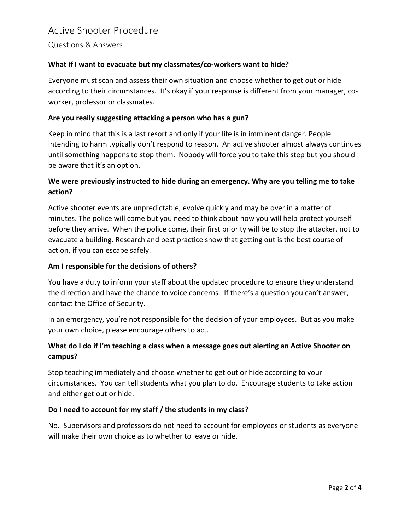Questions & Answers

## **What if I want to evacuate but my classmates/co-workers want to hide?**

Everyone must scan and assess their own situation and choose whether to get out or hide according to their circumstances. It's okay if your response is different from your manager, coworker, professor or classmates.

#### **Are you really suggesting attacking a person who has a gun?**

Keep in mind that this is a last resort and only if your life is in imminent danger. People intending to harm typically don't respond to reason. An active shooter almost always continues until something happens to stop them. Nobody will force you to take this step but you should be aware that it's an option.

## **We were previously instructed to hide during an emergency. Why are you telling me to take action?**

Active shooter events are unpredictable, evolve quickly and may be over in a matter of minutes. The police will come but you need to think about how you will help protect yourself before they arrive. When the police come, their first priority will be to stop the attacker, not to evacuate a building. Research and best practice show that getting out is the best course of action, if you can escape safely.

#### **Am I responsible for the decisions of others?**

You have a duty to inform your staff about the updated procedure to ensure they understand the direction and have the chance to voice concerns. If there's a question you can't answer, contact the Office of Security.

In an emergency, you're not responsible for the decision of your employees. But as you make your own choice, please encourage others to act.

## **What do I do if I'm teaching a class when a message goes out alerting an Active Shooter on campus?**

Stop teaching immediately and choose whether to get out or hide according to your circumstances. You can tell students what you plan to do. Encourage students to take action and either get out or hide.

#### **Do I need to account for my staff / the students in my class?**

No. Supervisors and professors do not need to account for employees or students as everyone will make their own choice as to whether to leave or hide.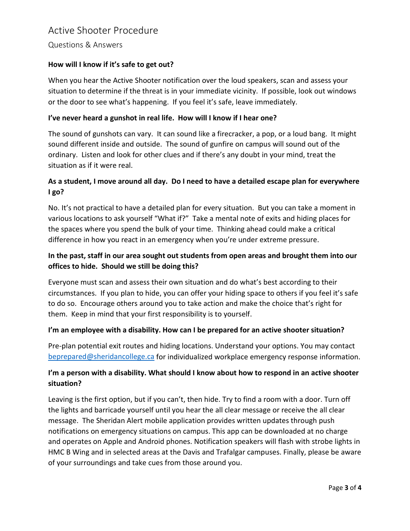Questions & Answers

## **How will I know if it's safe to get out?**

When you hear the Active Shooter notification over the loud speakers, scan and assess your situation to determine if the threat is in your immediate vicinity. If possible, look out windows or the door to see what's happening. If you feel it's safe, leave immediately.

### **I've never heard a gunshot in real life. How will I know if I hear one?**

The sound of gunshots can vary. It can sound like a firecracker, a pop, or a loud bang. It might sound different inside and outside. The sound of gunfire on campus will sound out of the ordinary. Listen and look for other clues and if there's any doubt in your mind, treat the situation as if it were real.

# **As a student, I move around all day. Do I need to have a detailed escape plan for everywhere I go?**

No. It's not practical to have a detailed plan for every situation. But you can take a moment in various locations to ask yourself "What if?" Take a mental note of exits and hiding places for the spaces where you spend the bulk of your time. Thinking ahead could make a critical difference in how you react in an emergency when you're under extreme pressure.

# **In the past, staff in our area sought out students from open areas and brought them into our offices to hide. Should we still be doing this?**

Everyone must scan and assess their own situation and do what's best according to their circumstances. If you plan to hide, you can offer your hiding space to others if you feel it's safe to do so. Encourage others around you to take action and make the choice that's right for them. Keep in mind that your first responsibility is to yourself.

#### **I'm an employee with a disability. How can I be prepared for an active shooter situation?**

Pre-plan potential exit routes and hiding locations. Understand your options. You may contact [beprepared@sheridancollege.ca](mailto:beprepared@sheridancollege.ca) for individualized workplace emergency response information.

# **I'm a person with a disability. What should I know about how to respond in an active shooter situation?**

Leaving is the first option, but if you can't, then hide. Try to find a room with a door. Turn off the lights and barricade yourself until you hear the all clear message or receive the all clear message. The Sheridan Alert mobile application provides written updates through push notifications on emergency situations on campus. This app can be downloaded at no charge and operates on Apple and Android phones. Notification speakers will flash with strobe lights in HMC B Wing and in selected areas at the Davis and Trafalgar campuses. Finally, please be aware of your surroundings and take cues from those around you.